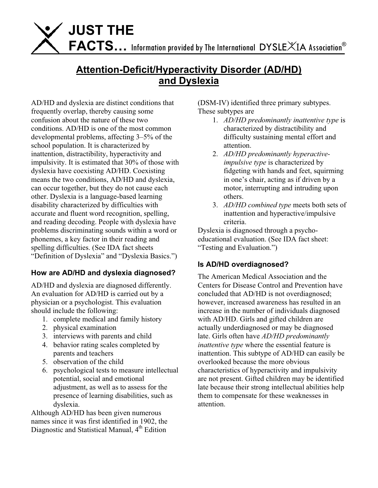

# **Attention-Deficit/Hyperactivity Disorder (AD/HD) and Dyslexia**

AD/HD and dyslexia are distinct conditions that frequently overlap, thereby causing some confusion about the nature of these two conditions. AD/HD is one of the most common developmental problems, affecting 3–5% of the school population. It is characterized by inattention, distractibility, hyperactivity and impulsivity. It is estimated that 30% of those with dyslexia have coexisting AD/HD. Coexisting means the two conditions, AD/HD and dyslexia, can occur together, but they do not cause each other. Dyslexia is a language-based learning disability characterized by difficulties with accurate and fluent word recognition, spelling, and reading decoding. People with dyslexia have problems discriminating sounds within a word or phonemes, a key factor in their reading and spelling difficulties. (See IDA fact sheets "Definition of Dyslexia" and "Dyslexia Basics.")

## **How are AD/HD and dyslexia diagnosed?**

AD/HD and dyslexia are diagnosed differently. An evaluation for AD/HD is carried out by a physician or a psychologist. This evaluation should include the following:

- 1. complete medical and family history
- 2. physical examination
- 3. interviews with parents and child
- 4. behavior rating scales completed by parents and teachers
- 5. observation of the child
- 6. psychological tests to measure intellectual potential, social and emotional adjustment, as well as to assess for the presence of learning disabilities, such as dyslexia.

Although AD/HD has been given numerous names since it was first identified in 1902, the Diagnostic and Statistical Manual, 4<sup>th</sup> Edition

(DSM-IV) identified three primary subtypes. These subtypes are

- 1. *AD/HD predominantly inattentive type* is characterized by distractibility and difficulty sustaining mental effort and attention.
- 2. *AD/HD predominantly hyperactiveimpulsive type* is characterized by fidgeting with hands and feet, squirming in one's chair, acting as if driven by a motor, interrupting and intruding upon others.
- 3. *AD/HD combined type* meets both sets of inattention and hyperactive/impulsive criteria.

Dyslexia is diagnosed through a psychoeducational evaluation. (See IDA fact sheet: "Testing and Evaluation.")

## **Is AD/HD overdiagnosed?**

The American Medical Association and the Centers for Disease Control and Prevention have concluded that AD/HD is not overdiagnosed; however, increased awareness has resulted in an increase in the number of individuals diagnosed with AD/HD. Girls and gifted children are actually underdiagnosed or may be diagnosed late. Girls often have *AD/HD predominantly inattentive type* where the essential feature is inattention. This subtype of AD/HD can easily be overlooked because the more obvious characteristics of hyperactivity and impulsivity are not present. Gifted children may be identified late because their strong intellectual abilities help them to compensate for these weaknesses in attention.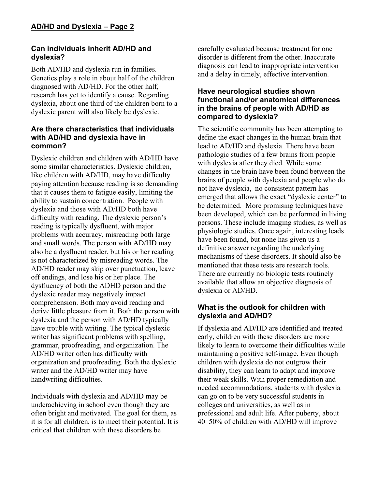### **Can individuals inherit AD/HD and dyslexia?**

Both AD/HD and dyslexia run in families. Genetics play a role in about half of the children diagnosed with AD/HD. For the other half, research has yet to identify a cause. Regarding dyslexia, about one third of the children born to a dyslexic parent will also likely be dyslexic.

#### **Are there characteristics that individuals with AD/HD and dyslexia have in common?**

Dyslexic children and children with AD/HD have some similar characteristics. Dyslexic children, like children with AD/HD, may have difficulty paying attention because reading is so demanding that it causes them to fatigue easily, limiting the ability to sustain concentration. People with dyslexia and those with AD/HD both have difficulty with reading. The dyslexic person's reading is typically dysfluent, with major problems with accuracy, misreading both large and small words. The person with AD/HD may also be a dysfluent reader, but his or her reading is not characterized by misreading words. The AD/HD reader may skip over punctuation, leave off endings, and lose his or her place. The dysfluency of both the ADHD person and the dyslexic reader may negatively impact comprehension. Both may avoid reading and derive little pleasure from it. Both the person with dyslexia and the person with AD/HD typically have trouble with writing. The typical dyslexic writer has significant problems with spelling, grammar, proofreading, and organization. The AD/HD writer often has difficulty with organization and proofreading. Both the dyslexic writer and the AD/HD writer may have handwriting difficulties.

Individuals with dyslexia and AD/HD may be underachieving in school even though they are often bright and motivated. The goal for them, as it is for all children, is to meet their potential. It is critical that children with these disorders be

carefully evaluated because treatment for one disorder is different from the other. Inaccurate diagnosis can lead to inappropriate intervention and a delay in timely, effective intervention.

#### **Have neurological studies shown functional and/or anatomical differences in the brains of people with AD/HD as compared to dyslexia?**

The scientific community has been attempting to define the exact changes in the human brain that lead to AD/HD and dyslexia. There have been pathologic studies of a few brains from people with dyslexia after they died. While some changes in the brain have been found between the brains of people with dyslexia and people who do not have dyslexia, no consistent pattern has emerged that allows the exact "dyslexic center" to be determined. More promising techniques have been developed, which can be performed in living persons. These include imaging studies, as well as physiologic studies. Once again, interesting leads have been found, but none has given us a definitive answer regarding the underlying mechanisms of these disorders. It should also be mentioned that these tests are research tools. There are currently no biologic tests routinely available that allow an objective diagnosis of dyslexia or AD/HD.

## **What is the outlook for children with dyslexia and AD/HD?**

If dyslexia and AD/HD are identified and treated early, children with these disorders are more likely to learn to overcome their difficulties while maintaining a positive self-image. Even though children with dyslexia do not outgrow their disability, they can learn to adapt and improve their weak skills. With proper remediation and needed accommodations, students with dyslexia can go on to be very successful students in colleges and universities, as well as in professional and adult life. After puberty, about 40–50% of children with AD/HD will improve